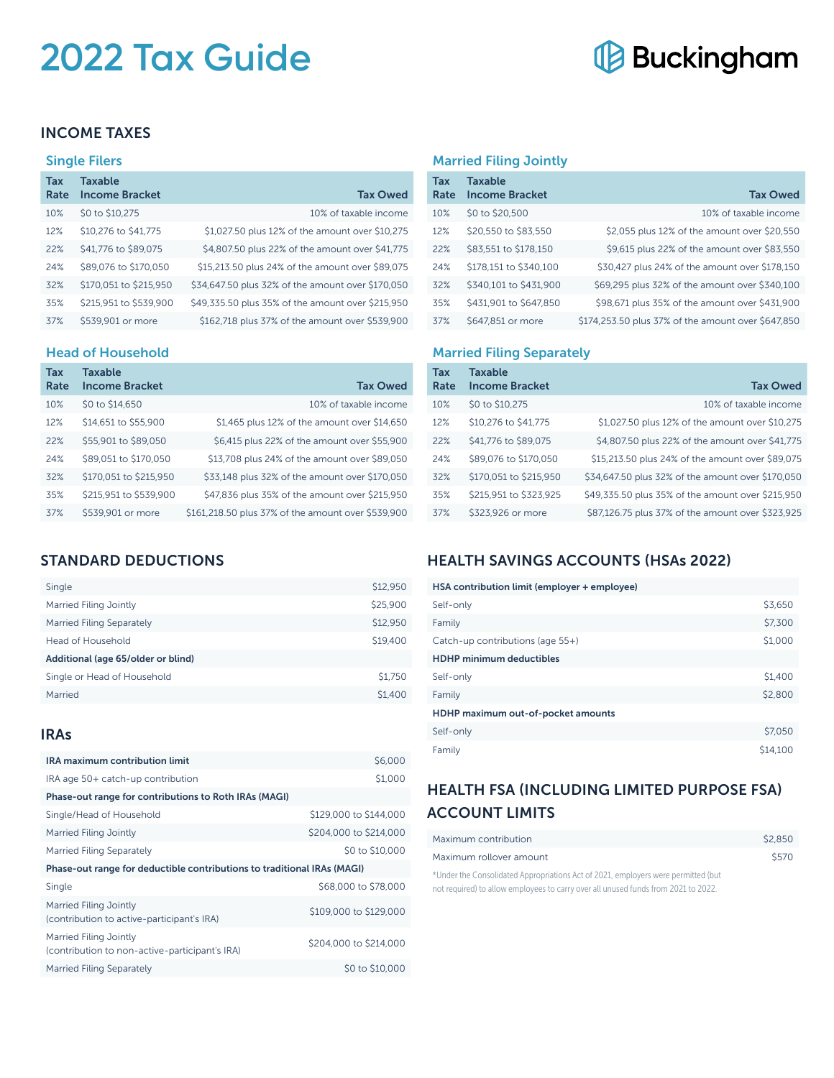# **2022 Tax Guide**

# **Buckingham**

#### INCOME TAXES

#### Single Filers

| Tax<br>Rate | <b>Taxable</b><br><b>Income Bracket</b> | <b>Tax Owed</b>                                   |
|-------------|-----------------------------------------|---------------------------------------------------|
| 10%         | \$0 to \$10,275                         | 10% of taxable income                             |
| 12%         | \$10,276 to \$41,775                    | \$1,027.50 plus 12% of the amount over \$10,275   |
| 22%         | \$41,776 to \$89,075                    | \$4,807.50 plus 22% of the amount over \$41,775   |
| 24%         | \$89,076 to \$170,050                   | \$15,213.50 plus 24% of the amount over \$89,075  |
| 32%         | \$170,051 to \$215,950                  | \$34,647.50 plus 32% of the amount over \$170,050 |
| 35%         | \$215,951 to \$539,900                  | \$49,335.50 plus 35% of the amount over \$215,950 |
| 37%         | \$539,901 or more                       | \$162,718 plus 37% of the amount over \$539,900   |

#### Head of Household

| <b>Tax</b><br>Rate | Taxable<br><b>Income Bracket</b> | <b>Tax Owed</b>                                    |
|--------------------|----------------------------------|----------------------------------------------------|
| 10%                | \$0 to \$14,650                  | 10% of taxable income                              |
| 12%                | \$14,651 to \$55,900             | \$1,465 plus 12% of the amount over \$14,650       |
| 22%                | \$55,901 to \$89,050             | \$6,415 plus 22% of the amount over \$55,900       |
| 24%                | \$89,051 to \$170,050            | \$13,708 plus 24% of the amount over \$89,050      |
| 32%                | \$170,051 to \$215,950           | \$33,148 plus 32% of the amount over \$170,050     |
| 35%                | \$215,951 to \$539,900           | \$47,836 plus 35% of the amount over \$215,950     |
| 37%                | \$539,901 or more                | \$161,218.50 plus 37% of the amount over \$539,900 |

#### STANDARD DEDUCTIONS

| Single                             | \$12,950 |  |
|------------------------------------|----------|--|
| Married Filing Jointly             | \$25,900 |  |
| Married Filing Separately          | \$12,950 |  |
| Head of Household                  | \$19,400 |  |
| Additional (age 65/older or blind) |          |  |
| Single or Head of Household        | \$1,750  |  |
| Married                            | \$1,400  |  |
|                                    |          |  |

#### IRAs

| <b>IRA maximum contribution limit</b>                                    | \$6,000                |  |
|--------------------------------------------------------------------------|------------------------|--|
| IRA age 50+ catch-up contribution                                        | \$1,000                |  |
| Phase-out range for contributions to Roth IRAs (MAGI)                    |                        |  |
| Single/Head of Household                                                 | \$129,000 to \$144,000 |  |
| Married Filing Jointly                                                   | \$204,000 to \$214,000 |  |
| Married Filing Separately                                                | \$0 to \$10,000        |  |
| Phase-out range for deductible contributions to traditional IRAs (MAGI)  |                        |  |
| Single                                                                   | \$68,000 to \$78,000   |  |
| Married Filing Jointly<br>(contribution to active-participant's IRA)     | \$109,000 to \$129,000 |  |
| Married Filing Jointly<br>(contribution to non-active-participant's IRA) | \$204,000 to \$214,000 |  |
| Married Filing Separately                                                | \$0 to \$10,000        |  |

#### Married Filing Jointly

| Tax<br>Rate | <b>Taxable</b><br><b>Income Bracket</b> | <b>Tax Owed</b>                                    |
|-------------|-----------------------------------------|----------------------------------------------------|
| 10%         | \$0 to \$20,500                         | 10% of taxable income                              |
| 12%         | \$20,550 to \$83,550                    | \$2,055 plus 12% of the amount over \$20,550       |
| 22%         | \$83,551 to \$178,150                   | \$9,615 plus 22% of the amount over \$83,550       |
| 24%         | \$178.151 to \$340.100                  | \$30,427 plus 24% of the amount over \$178,150     |
| 32%         | \$340,101 to \$431,900                  | \$69,295 plus 32% of the amount over \$340,100     |
| 35%         | \$431,901 to \$647,850                  | \$98,671 plus 35% of the amount over \$431,900     |
| 37%         | \$647,851 or more                       | \$174,253.50 plus 37% of the amount over \$647,850 |

#### Married Filing Separately

| Tax  | Taxable                |                                                   |
|------|------------------------|---------------------------------------------------|
| Rate | <b>Income Bracket</b>  | <b>Tax Owed</b>                                   |
| 10%  | \$0 to \$10,275        | 10% of taxable income                             |
| 12%  | \$10,276 to \$41,775   | \$1,027.50 plus 12% of the amount over \$10,275   |
| 22%  | \$41,776 to \$89,075   | \$4,807.50 plus 22% of the amount over \$41,775   |
| 24%  | \$89,076 to \$170,050  | \$15,213.50 plus 24% of the amount over \$89,075  |
| 32%  | \$170,051 to \$215,950 | \$34,647.50 plus 32% of the amount over \$170,050 |
| 35%  | \$215,951 to \$323,925 | \$49,335.50 plus 35% of the amount over \$215,950 |
| 37%  | \$323,926 or more      | \$87,126.75 plus 37% of the amount over \$323,925 |

### HEALTH SAVINGS ACCOUNTS (HSAs 2022)

#### HSA contribution limit (employer + employee)

| Self-only                          | \$3,650  |
|------------------------------------|----------|
| Family                             | \$7,300  |
| Catch-up contributions (age 55+)   | \$1,000  |
| <b>HDHP minimum deductibles</b>    |          |
| Self-only                          | \$1,400  |
| Family                             | \$2,800  |
| HDHP maximum out-of-pocket amounts |          |
| Self-only                          | \$7,050  |
| Family                             | \$14,100 |

## HEALTH FSA (INCLUDING LIMITED PURPOSE FSA) ACCOUNT LIMITS

| Maximum contribution                                                                                                                                                                                                                                                                          | \$2.850 |
|-----------------------------------------------------------------------------------------------------------------------------------------------------------------------------------------------------------------------------------------------------------------------------------------------|---------|
| Maximum rollover amount                                                                                                                                                                                                                                                                       | \$570   |
| $\frac{1}{2}$ and $\frac{1}{2}$ and $\frac{1}{2}$ and $\frac{1}{2}$ and $\frac{1}{2}$ and $\frac{1}{2}$ and $\frac{1}{2}$ and $\frac{1}{2}$ and $\frac{1}{2}$ and $\frac{1}{2}$ and $\frac{1}{2}$ and $\frac{1}{2}$ and $\frac{1}{2}$ and $\frac{1}{2}$ and $\frac{1}{2}$ and $\frac{1}{2}$ a |         |

\*Under the Consolidated Appropriations Act of 2021, employers were permitted (but not required) to allow employees to carry over all unused funds from 2021 to 2022.